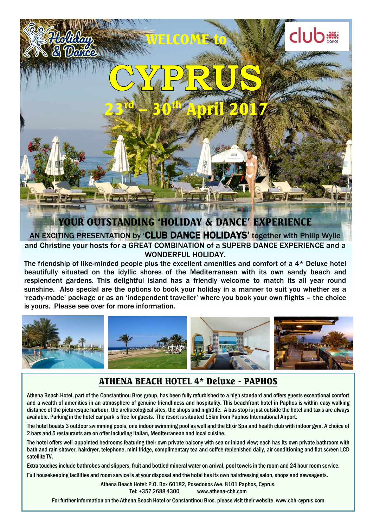

**EXEMPLY IN EXEMPLY TRESPAYING THE COMBINATION OF A SUPERB DANCE EXPERIENCE and a** AN EXCITING PRESENTATION by 'CLUB DANCE HOLIDAYS' together with Philip Wylie WONDERFUL HOLIDAY.

The friendship of like-minded people plus the excellent amenities and comfort of a 4\* Deluxe hotel beautifully situated on the idyllic shores of the Mediterranean with its own sandy beach and resplendent gardens. This delightful island has a friendly welcome to match its all year round sunshine. Also special are the options to book your holiday in a manner to suit you whether as a 'ready-made' package or as an 'independent traveller' where you book your own flights – the choice is yours. Please see over for more information.



### ATHENA BEACH HOTEL 4\* Deluxe - PAPHOS

Athena Beach Hotel, part of the Constantinou Bros group, has been fully refurbished to a high standard and offers guests exceptional comfort and a wealth of amenities in an atmosphere of genuine friendliness and hospitality. This beachfront hotel in Paphos is within easy walking distance of the picturesque harbour, the archaeological sites, the shops and nightlife. A bus stop is just outside the hotel and taxis are always available. Parking in the hotel car park is free for guests. The resort is situated 15km from Paphos International Airport.

The hotel boasts 3 outdoor swimming pools, one indoor swimming pool as well and the Elixir Spa and health club with indoor gym. A choice of 2 bars and 5 restaurants are on offer including Italian, Mediterranean and local cuisine.

The hotel offers well-appointed bedrooms featuring their own private balcony with sea or inland view; each has its own private bathroom with bath and rain shower, hairdryer, telephone, mini fridge, complimentary tea and coffee replenished daily, air conditioning and flat screen LCD satellite TV.

Extra touches include bathrobes and slippers, fruit and bottled mineral water on arrival, pool towels in the room and 24 hour room service.

Full housekeeping facilities and room service is at your disposal and the hotel has its own hairdressing salon, shops and newsagents.

Athena Beach Hotel: P.O. Box 60182, Posedonos Ave. 8101 Paphos, Cyprus. Tel: +357 2688 4300 www.athena-cbh.com

For further information on the Athena Beach Hotel or Constantinou Bros. please visit their website. www.cbh-cyprus.com